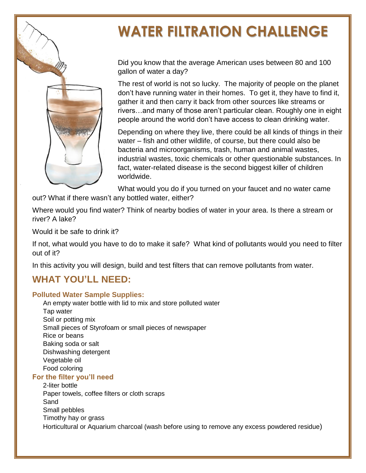# **WATER FILTRATION CHALLENGE**

Did you know that the average American uses between 80 and 100 gallon of water a day?

The rest of world is not so lucky. The majority of people on the planet don't have running water in their homes. To get it, they have to find it, gather it and then carry it back from other sources like streams or rivers…and many of those aren't particular clean. Roughly one in eight people around the world don't have access to clean drinking water.

Depending on where they live, there could be all kinds of things in their water – fish and other wildlife, of course, but there could also be bacteria and microorganisms, trash, human and animal wastes, industrial wastes, toxic chemicals or other questionable substances. In fact, water-related disease is the second biggest killer of children worldwide.

What would you do if you turned on your faucet and no water came out? What if there wasn't any bottled water, either?

Where would you find water? Think of nearby bodies of water in your area. Is there a stream or river? A lake?

Would it be safe to drink it?

If not, what would you have to do to make it safe? What kind of pollutants would you need to filter out of it?

In this activity you will design, build and test filters that can remove pollutants from water.

## **WHAT YOU'LL NEED:**

#### **Polluted Water Sample Supplies:**

An empty water bottle with lid to mix and store polluted water Tap water Soil or potting mix Small pieces of Styrofoam or small pieces of newspaper Rice or beans Baking soda or salt Dishwashing detergent Vegetable oil Food coloring

#### **For the filter you'll need**

2-liter bottle Paper towels, coffee filters or cloth scraps Sand Small pebbles Timothy hay or grass Horticultural or Aquarium charcoal (wash before using to remove any excess powdered residue)